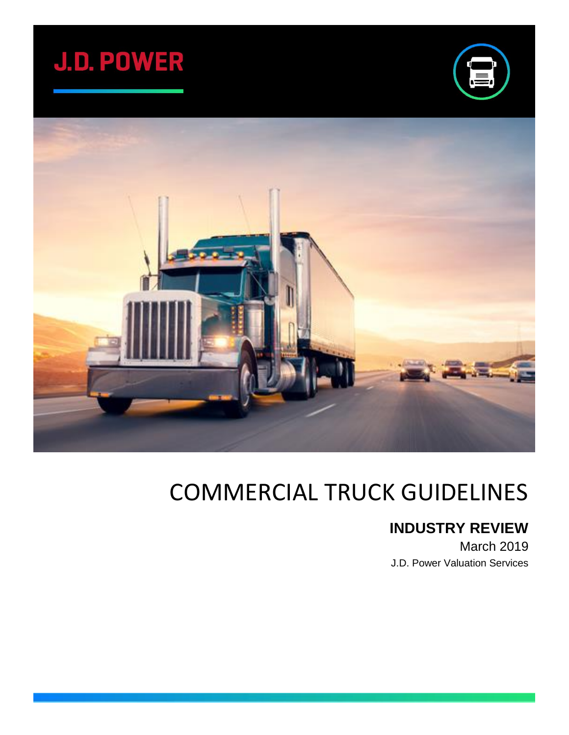





# COMMERCIAL TRUCK GUIDELINES

## **INDUSTRY REVIEW**

March 2019 J.D. Power Valuation Services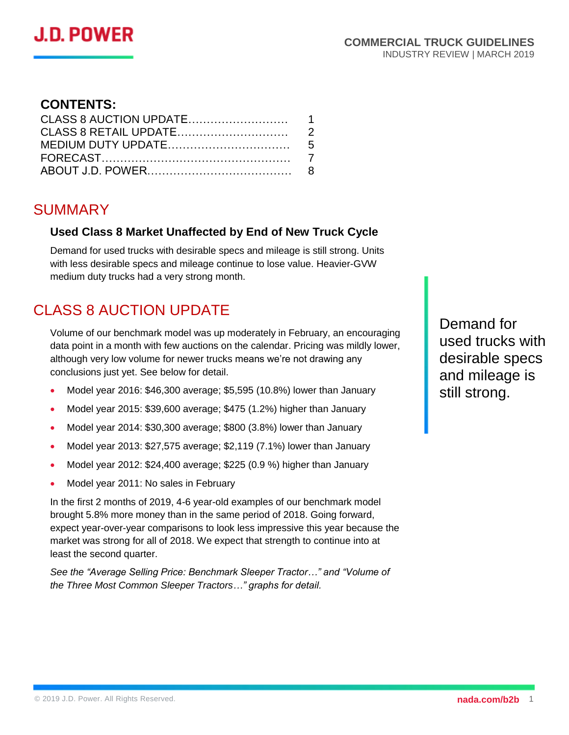# J.D. POWER

#### **CONTENTS:**

### SUMMARY

#### **Used Class 8 Market Unaffected by End of New Truck Cycle**

Demand for used trucks with desirable specs and mileage is still strong. Units with less desirable specs and mileage continue to lose value. Heavier-GVW medium duty trucks had a very strong month.

# CLASS 8 AUCTION UPDATE

Volume of our benchmark model was up moderately in February, an encouraging data point in a month with few auctions on the calendar. Pricing was mildly lower, although very low volume for newer trucks means we're not drawing any conclusions just yet. See below for detail.

- Model year 2016: \$46,300 average; \$5,595 (10.8%) lower than January
- Model year 2015: \$39,600 average; \$475 (1.2%) higher than January
- Model year 2014: \$30,300 average; \$800 (3.8%) lower than January
- Model year 2013: \$27,575 average; \$2,119 (7.1%) lower than January
- Model year 2012: \$24,400 average; \$225 (0.9 %) higher than January
- Model year 2011: No sales in February

In the first 2 months of 2019, 4-6 year-old examples of our benchmark model brought 5.8% more money than in the same period of 2018. Going forward, expect year-over-year comparisons to look less impressive this year because the market was strong for all of 2018. We expect that strength to continue into at least the second quarter.

*See the "Average Selling Price: Benchmark Sleeper Tractor…" and "Volume of the Three Most Common Sleeper Tractors…" graphs for detail.*

Demand for used trucks with desirable specs and mileage is still strong.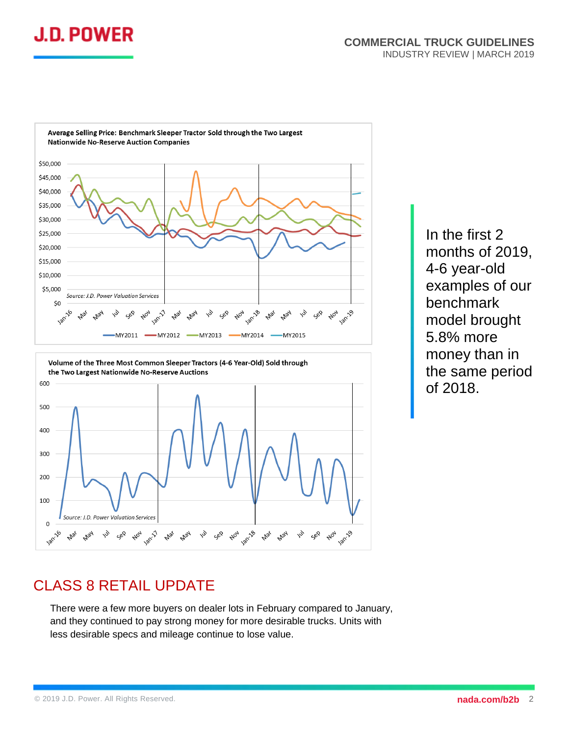



Volume of the Three Most Common Sleeper Tractors (4-6 Year-Old) Sold through the Two Largest Nationwide No-Reserve Auctions 600 500 400 300 200 100 Source: J.D. Power Valuation Services  $\overline{0}$ Jan-18 **Jan-19** Jan-17 **Jan-16** Nov **Mar** May Sep Aoy Mar

In the first 2 months of 2019, 4-6 year-old examples of our benchmark model brought 5.8% more money than in the same period of 2018.

### CLASS 8 RETAIL UPDATE

There were a few more buyers on dealer lots in February compared to January, and they continued to pay strong money for more desirable trucks. Units with less desirable specs and mileage continue to lose value.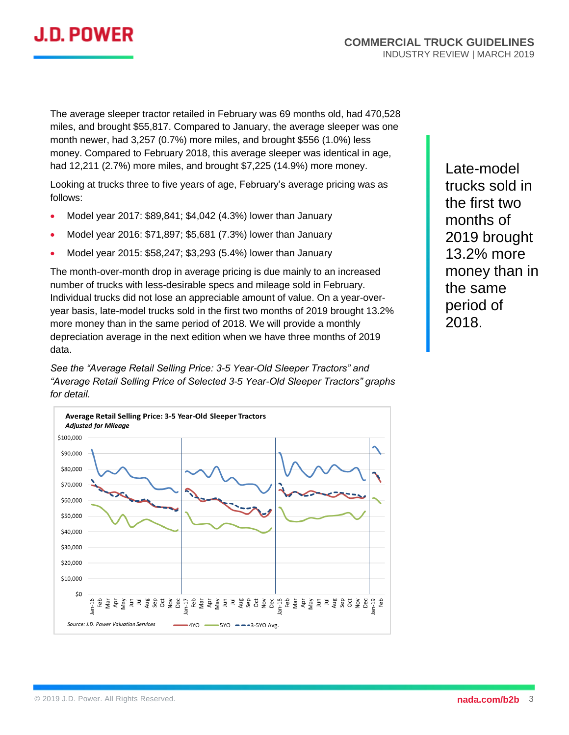

The average sleeper tractor retailed in February was 69 months old, had 470,528 miles, and brought \$55,817. Compared to January, the average sleeper was one month newer, had 3,257 (0.7%) more miles, and brought \$556 (1.0%) less money. Compared to February 2018, this average sleeper was identical in age, had 12,211 (2.7%) more miles, and brought \$7,225 (14.9%) more money.

Looking at trucks three to five years of age, February's average pricing was as follows:

- Model year 2017: \$89,841; \$4,042 (4.3%) lower than January
- Model year 2016: \$71,897; \$5,681 (7.3%) lower than January
- Model year 2015: \$58,247; \$3,293 (5.4%) lower than January

The month-over-month drop in average pricing is due mainly to an increased number of trucks with less-desirable specs and mileage sold in February. Individual trucks did not lose an appreciable amount of value. On a year-overyear basis, late-model trucks sold in the first two months of 2019 brought 13.2% more money than in the same period of 2018. We will provide a monthly depreciation average in the next edition when we have three months of 2019 data.

*See the "Average Retail Selling Price: 3-5 Year-Old Sleeper Tractors" and "Average Retail Selling Price of Selected 3-5 Year-Old Sleeper Tractors" graphs for detail.*



Late-model trucks sold in the first two months of 2019 brought 13.2% more money than in the same period of 2018.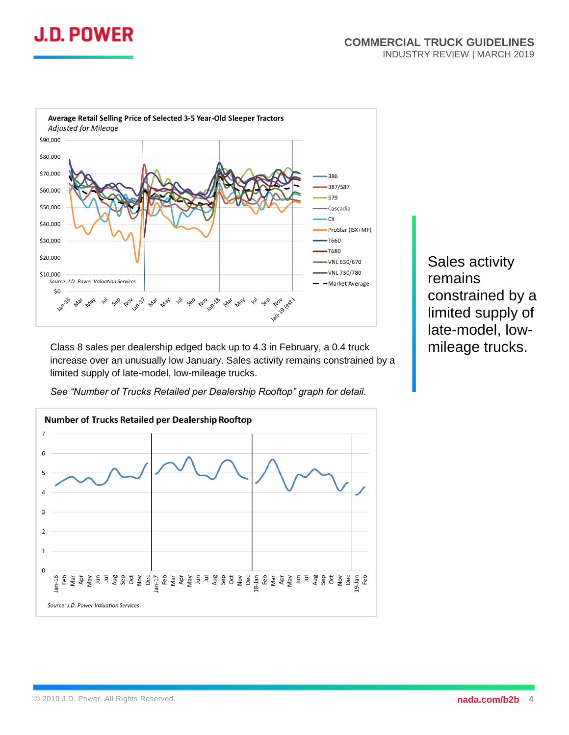



Class 8 sales per dealership edged back up to 4.3 in February, a 0.4 truck increase over an unusually low January. Sales activity remains constrained by a limited supply of late-model, low-mileage trucks.

*See "Number of Trucks Retailed per Dealership Rooftop" graph for detail.*



Sales activity remains constrained by a limited supply of late-model, lowmileage trucks.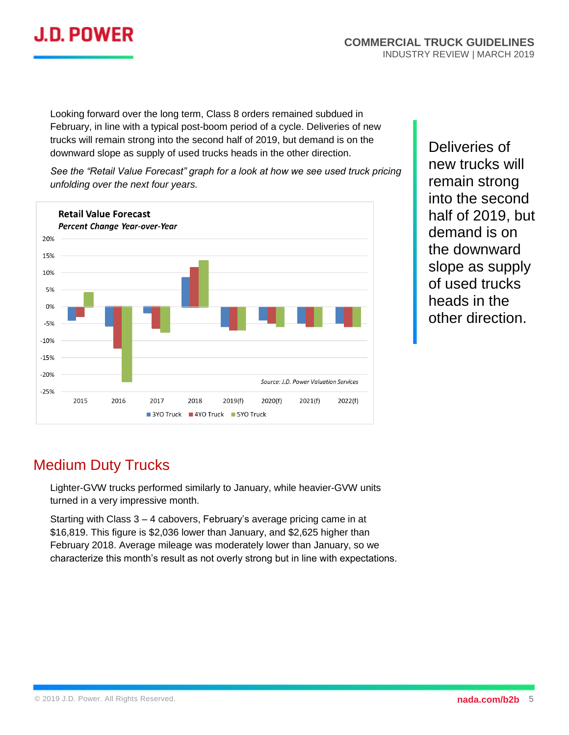

Looking forward over the long term, Class 8 orders remained subdued in February, in line with a typical post-boom period of a cycle. Deliveries of new trucks will remain strong into the second half of 2019, but demand is on the downward slope as supply of used trucks heads in the other direction.

*See the "Retail Value Forecast" graph for a look at how we see used truck pricing unfolding over the next four years.*



Deliveries of new trucks will remain strong into the second half of 2019, but demand is on the downward slope as supply of used trucks heads in the other direction.

#### Medium Duty Trucks

Lighter-GVW trucks performed similarly to January, while heavier-GVW units turned in a very impressive month.

Starting with Class 3 – 4 cabovers, February's average pricing came in at \$16,819. This figure is \$2,036 lower than January, and \$2,625 higher than February 2018. Average mileage was moderately lower than January, so we characterize this month's result as not overly strong but in line with expectations.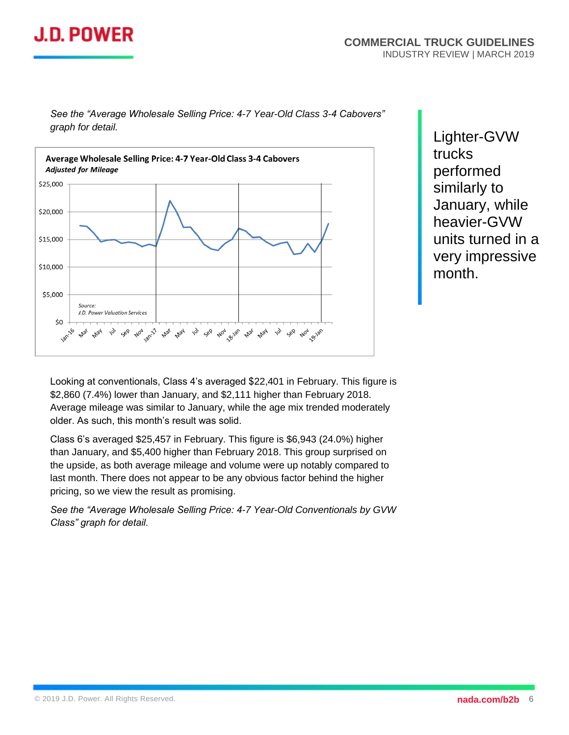# J.D. POWER

*See the "Average Wholesale Selling Price: 4-7 Year-Old Class 3-4 Cabovers" graph for detail.* 



Lighter-GVW trucks performed similarly to January, while heavier-GVW units turned in a very impressive month.

Looking at conventionals, Class 4's averaged \$22,401 in February. This figure is \$2,860 (7.4%) lower than January, and \$2,111 higher than February 2018. Average mileage was similar to January, while the age mix trended moderately older. As such, this month's result was solid.

Class 6's averaged \$25,457 in February. This figure is \$6,943 (24.0%) higher than January, and \$5,400 higher than February 2018. This group surprised on the upside, as both average mileage and volume were up notably compared to last month. There does not appear to be any obvious factor behind the higher pricing, so we view the result as promising.

*See the "Average Wholesale Selling Price: 4-7 Year-Old Conventionals by GVW Class" graph for detail.*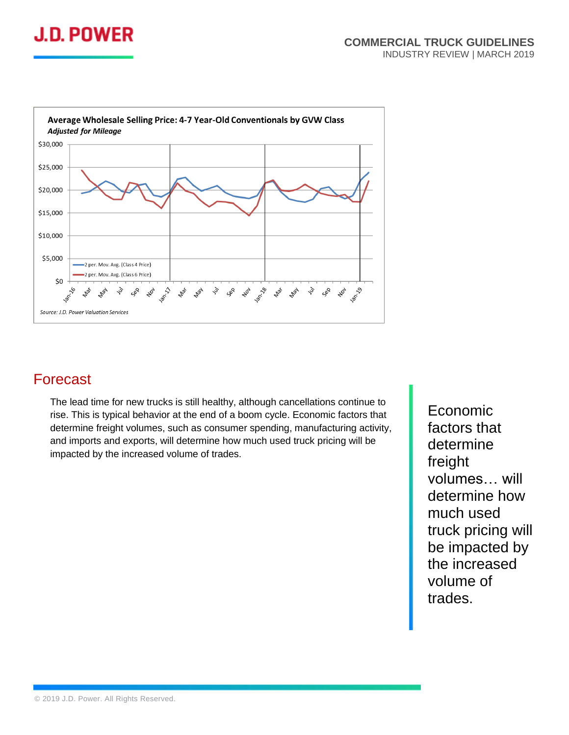



#### Forecast

The lead time for new trucks is still healthy, although cancellations continue to rise. This is typical behavior at the end of a boom cycle. Economic factors that determine freight volumes, such as consumer spending, manufacturing activity, and imports and exports, will determine how much used truck pricing will be impacted by the increased volume of trades.

Economic factors that determine freight volumes… will determine how much used truck pricing will be impacted by the increased volume of trades.